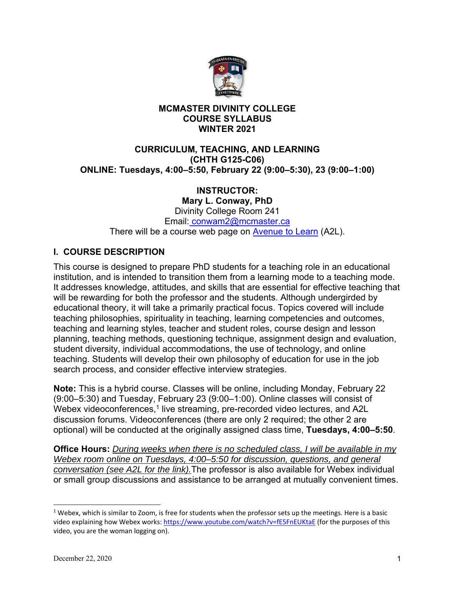

# **MCMASTER DIVINITY COLLEGE COURSE SYLLABUS WINTER 2021**

# **CURRICULUM, TEACHING, AND LEARNING (CHTH G125-C06) ONLINE: Tuesdays, 4:00–5:50, February 22 (9:00–5:30), 23 (9:00–1:00)**

# **INSTRUCTOR:**

**Mary L. Conway, PhD**  Divinity College Room 241 Email: conwam2@mcmaster.ca There will be a course web page on Avenue to Learn (A2L).

# **I. COURSE DESCRIPTION**

This course is designed to prepare PhD students for a teaching role in an educational institution, and is intended to transition them from a learning mode to a teaching mode. It addresses knowledge, attitudes, and skills that are essential for effective teaching that will be rewarding for both the professor and the students. Although undergirded by educational theory, it will take a primarily practical focus. Topics covered will include teaching philosophies, spirituality in teaching, learning competencies and outcomes, teaching and learning styles, teacher and student roles, course design and lesson planning, teaching methods, questioning technique, assignment design and evaluation, student diversity, individual accommodations, the use of technology, and online teaching. Students will develop their own philosophy of education for use in the job search process, and consider effective interview strategies.

**Note:** This is a hybrid course. Classes will be online, including Monday, February 22 (9:00–5:30) and Tuesday, February 23 (9:00–1:00). Online classes will consist of Webex videoconferences,<sup>1</sup> live streaming, pre-recorded video lectures, and A2L discussion forums. Videoconferences (there are only 2 required; the other 2 are optional) will be conducted at the originally assigned class time, **Tuesdays, 4:00–5:50**.

**Office Hours:** *During weeks when there is no scheduled class, I will be available in my Webex room online on Tuesdays, 4:00–5:50 for discussion, questions, and general conversation (see A2L for the link).*The professor is also available for Webex individual or small group discussions and assistance to be arranged at mutually convenient times.

 $1$  Webex, which is similar to Zoom, is free for students when the professor sets up the meetings. Here is a basic video explaining how Webex works: https://www.youtube.com/watch?v=fE5FnEUKtaE (for the purposes of this video, you are the woman logging on).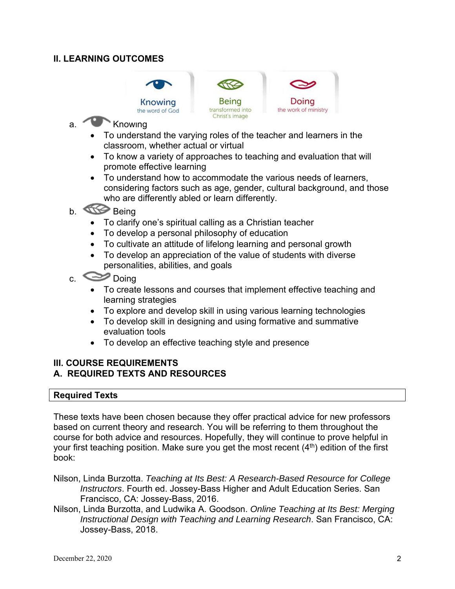# **II. LEARNING OUTCOMES**





- a. Knowing
	- To understand the varying roles of the teacher and learners in the classroom, whether actual or virtual

Christ's image

- To know a variety of approaches to teaching and evaluation that will promote effective learning
- To understand how to accommodate the various needs of learners, considering factors such as age, gender, cultural background, and those who are differently abled or learn differently.
- b. **Being** 
	- To clarify one's spiritual calling as a Christian teacher
	- To develop a personal philosophy of education
	- To cultivate an attitude of lifelong learning and personal growth
	- To develop an appreciation of the value of students with diverse personalities, abilities, and goals
- $c.$   $\bullet$  Doing
	- To create lessons and courses that implement effective teaching and learning strategies
	- To explore and develop skill in using various learning technologies
	- To develop skill in designing and using formative and summative evaluation tools
	- To develop an effective teaching style and presence

### **III. COURSE REQUIREMENTS A. REQUIRED TEXTS AND RESOURCES**

#### **Required Texts**

These texts have been chosen because they offer practical advice for new professors based on current theory and research. You will be referring to them throughout the course for both advice and resources. Hopefully, they will continue to prove helpful in your first teaching position. Make sure you get the most recent  $(4<sup>th</sup>)$  edition of the first book:

- Nilson, Linda Burzotta. *Teaching at Its Best: A Research-Based Resource for College Instructors*. Fourth ed. Jossey-Bass Higher and Adult Education Series. San Francisco, CA: Jossey-Bass, 2016.
- Nilson, Linda Burzotta, and Ludwika A. Goodson. *Online Teaching at Its Best: Merging Instructional Design with Teaching and Learning Research*. San Francisco, CA: Jossey-Bass, 2018.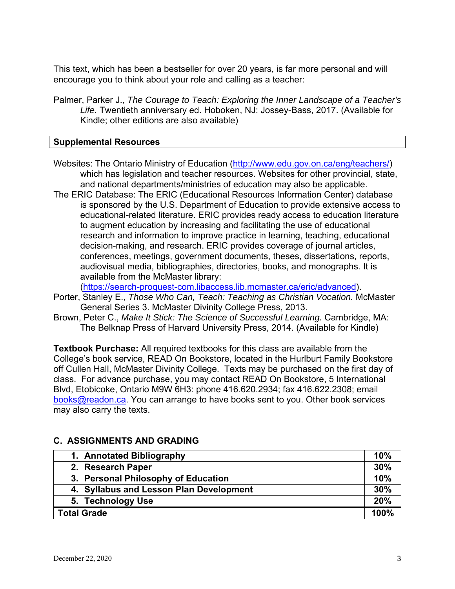This text, which has been a bestseller for over 20 years, is far more personal and will encourage you to think about your role and calling as a teacher:

Palmer, Parker J., *The Courage to Teach: Exploring the Inner Landscape of a Teacher's Life.* Twentieth anniversary ed. Hoboken, NJ: Jossey-Bass, 2017. (Available for Kindle; other editions are also available)

### **Supplemental Resources**

- Websites: The Ontario Ministry of Education (http://www.edu.gov.on.ca/eng/teachers/) which has legislation and teacher resources. Websites for other provincial, state, and national departments/ministries of education may also be applicable.
- The ERIC Database: The ERIC (Educational Resources Information Center) database is sponsored by the U.S. Department of Education to provide extensive access to educational-related literature. ERIC provides ready access to education literature to augment education by increasing and facilitating the use of educational research and information to improve practice in learning, teaching, educational decision-making, and research. ERIC provides coverage of journal articles, conferences, meetings, government documents, theses, dissertations, reports, audiovisual media, bibliographies, directories, books, and monographs. It is available from the McMaster library:

(https://search-proquest-com.libaccess.lib.mcmaster.ca/eric/advanced).

- Porter, Stanley E., *Those Who Can, Teach: Teaching as Christian Vocation.* McMaster General Series 3. McMaster Divinity College Press, 2013.
- Brown, Peter C., *Make It Stick: The Science of Successful Learning.* Cambridge, MA: The Belknap Press of Harvard University Press, 2014. (Available for Kindle)

**Textbook Purchase:** All required textbooks for this class are available from the College's book service, READ On Bookstore, located in the Hurlburt Family Bookstore off Cullen Hall, McMaster Divinity College. Texts may be purchased on the first day of class. For advance purchase, you may contact READ On Bookstore, 5 International Blvd, Etobicoke, Ontario M9W 6H3: phone 416.620.2934; fax 416.622.2308; email books@readon.ca. You can arrange to have books sent to you. Other book services may also carry the texts.

| 1. Annotated Bibliography               | 10% |  |
|-----------------------------------------|-----|--|
| 2. Research Paper                       | 30% |  |
| 3. Personal Philosophy of Education     | 10% |  |
| 4. Syllabus and Lesson Plan Development | 30% |  |
| 5. Technology Use                       | 20% |  |
| <b>Total Grade</b>                      |     |  |

# **C. ASSIGNMENTS AND GRADING**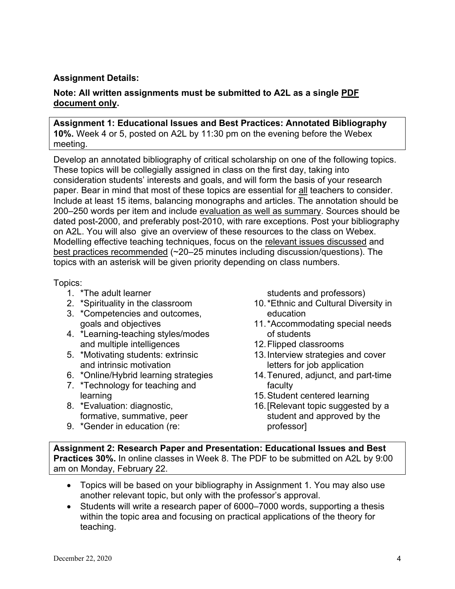# **Assignment Details:**

## **Note: All written assignments must be submitted to A2L as a single PDF document only.**

#### **Assignment 1: Educational Issues and Best Practices: Annotated Bibliography 10%.** Week 4 or 5, posted on A2L by 11:30 pm on the evening before the Webex meeting.

Develop an annotated bibliography of critical scholarship on one of the following topics. These topics will be collegially assigned in class on the first day, taking into consideration students' interests and goals, and will form the basis of your research paper. Bear in mind that most of these topics are essential for all teachers to consider. Include at least 15 items, balancing monographs and articles. The annotation should be 200–250 words per item and include evaluation as well as summary. Sources should be dated post-2000, and preferably post-2010, with rare exceptions. Post your bibliography on A2L. You will also give an overview of these resources to the class on Webex. Modelling effective teaching techniques, focus on the relevant issues discussed and best practices recommended (~20–25 minutes including discussion/questions). The topics with an asterisk will be given priority depending on class numbers.

#### Topics:

- 1. \*The adult learner
- 2. \*Spirituality in the classroom
- 3. \*Competencies and outcomes, goals and objectives
- 4. \*Learning-teaching styles/modes and multiple intelligences
- 5. \*Motivating students: extrinsic and intrinsic motivation
- 6. \*Online/Hybrid learning strategies
- 7. \*Technology for teaching and learning
- 8. \*Evaluation: diagnostic, formative, summative, peer
- 9. \*Gender in education (re:

students and professors)

- 10. \*Ethnic and Cultural Diversity in education
- 11. \*Accommodating special needs of students
- 12. Flipped classrooms
- 13. Interview strategies and cover letters for job application
- 14. Tenured, adjunct, and part-time faculty
- 15. Student centered learning
- 16. [Relevant topic suggested by a student and approved by the professor]

**Assignment 2: Research Paper and Presentation: Educational Issues and Best Practices 30%.** In online classes in Week 8. The PDF to be submitted on A2L by 9:00 am on Monday, February 22.

- Topics will be based on your bibliography in Assignment 1. You may also use another relevant topic, but only with the professor's approval.
- Students will write a research paper of 6000–7000 words, supporting a thesis within the topic area and focusing on practical applications of the theory for teaching.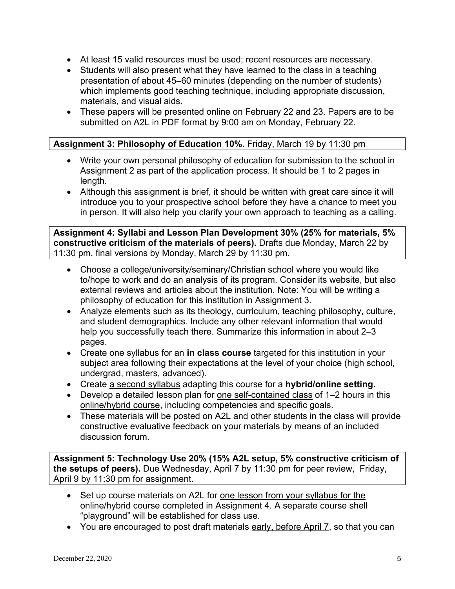- At least 15 valid resources must be used; recent resources are necessary.
- Students will also present what they have learned to the class in a teaching presentation of about 45–60 minutes (depending on the number of students) which implements good teaching technique, including appropriate discussion, materials, and visual aids.
- These papers will be presented online on February 22 and 23. Papers are to be submitted on A2L in PDF format by 9:00 am on Monday, February 22.

# **Assignment 3: Philosophy of Education 10%.** Friday, March 19 by 11:30 pm

- Write your own personal philosophy of education for submission to the school in Assignment 2 as part of the application process. It should be 1 to 2 pages in length.
- Although this assignment is brief, it should be written with great care since it will introduce you to your prospective school before they have a chance to meet you in person. It will also help you clarify your own approach to teaching as a calling.

**Assignment 4: Syllabi and Lesson Plan Development 30% (25% for materials, 5% constructive criticism of the materials of peers).** Drafts due Monday, March 22 by 11:30 pm, final versions by Monday, March 29 by 11:30 pm.

- Choose a college/university/seminary/Christian school where you would like to/hope to work and do an analysis of its program. Consider its website, but also external reviews and articles about the institution. Note: You will be writing a philosophy of education for this institution in Assignment 3.
- Analyze elements such as its theology, curriculum, teaching philosophy, culture, and student demographics. Include any other relevant information that would help you successfully teach there. Summarize this information in about 2–3 pages.
- Create one syllabus for an **in class course** targeted for this institution in your subject area following their expectations at the level of your choice (high school, undergrad, masters, advanced).
- Create a second syllabus adapting this course for a **hybrid/online setting.**
- Develop a detailed lesson plan for one self-contained class of 1–2 hours in this online/hybrid course, including competencies and specific goals.
- These materials will be posted on A2L and other students in the class will provide constructive evaluative feedback on your materials by means of an included discussion forum.

**Assignment 5: Technology Use 20% (15% A2L setup, 5% constructive criticism of the setups of peers).** Due Wednesday, April 7 by 11:30 pm for peer review, Friday, April 9 by 11:30 pm for assignment.

- Set up course materials on A2L for one lesson from your syllabus for the online/hybrid course completed in Assignment 4. A separate course shell "playground" will be established for class use.
- You are encouraged to post draft materials early, before April 7, so that you can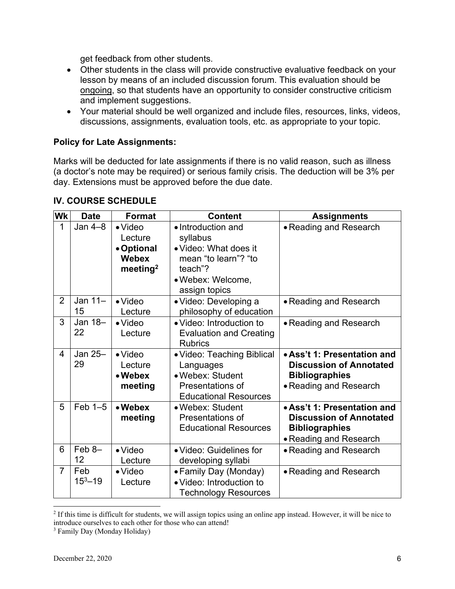get feedback from other students.

- Other students in the class will provide constructive evaluative feedback on your lesson by means of an included discussion forum. This evaluation should be ongoing, so that students have an opportunity to consider constructive criticism and implement suggestions.
- Your material should be well organized and include files, resources, links, videos, discussions, assignments, evaluation tools, etc. as appropriate to your topic.

## **Policy for Late Assignments:**

Marks will be deducted for late assignments if there is no valid reason, such as illness (a doctor's note may be required) or serious family crisis. The deduction will be 3% per day. Extensions must be approved before the due date.

| Wk             | <b>Date</b>            | <b>Format</b>                                                                    | <b>Content</b>                                                                                                                   | <b>Assignments</b>                                                                                               |
|----------------|------------------------|----------------------------------------------------------------------------------|----------------------------------------------------------------------------------------------------------------------------------|------------------------------------------------------------------------------------------------------------------|
| 1              | Jan $4-8$              | $\bullet$ Video<br>Lecture<br>• Optional<br><b>Webex</b><br>meeting <sup>2</sup> | • Introduction and<br>syllabus<br>• Video: What does it<br>mean "to learn"? "to<br>teach"?<br>• Webex: Welcome,<br>assign topics | • Reading and Research                                                                                           |
| 2              | Jan $11-$<br>15        | $\bullet$ Video<br>Lecture                                                       | • Video: Developing a<br>philosophy of education                                                                                 | • Reading and Research                                                                                           |
| 3              | Jan 18-<br>22          | $\bullet$ Video<br>Lecture                                                       | • Video: Introduction to<br><b>Evaluation and Creating</b><br><b>Rubrics</b>                                                     | • Reading and Research                                                                                           |
| 4              | Jan $25-$<br>29        | $\bullet$ Video<br>Lecture<br>• Webex<br>meeting                                 | • Video: Teaching Biblical<br>Languages<br>• Webex: Student<br>Presentations of<br><b>Educational Resources</b>                  | • Ass't 1: Presentation and<br><b>Discussion of Annotated</b><br><b>Bibliographies</b><br>• Reading and Research |
| 5              | $Feb$ 1-5              | • Webex<br>meeting                                                               | • Webex: Student<br>Presentations of<br><b>Educational Resources</b>                                                             | • Ass't 1: Presentation and<br><b>Discussion of Annotated</b><br><b>Bibliographies</b><br>· Reading and Research |
| 6              | Feb <sub>8</sub><br>12 | $\bullet$ Video<br>Lecture                                                       | • Video: Guidelines for<br>developing syllabi                                                                                    | • Reading and Research                                                                                           |
| $\overline{7}$ | Feb<br>$15^3 - 19$     | $\bullet$ Video<br>Lecture                                                       | • Family Day (Monday)<br>· Video: Introduction to<br><b>Technology Resources</b>                                                 | • Reading and Research                                                                                           |

# **IV. COURSE SCHEDULE**

<sup>&</sup>lt;sup>2</sup> If this time is difficult for students, we will assign topics using an online app instead. However, it will be nice to introduce ourselves to each other for those who can attend!

<sup>3</sup> Family Day (Monday Holiday)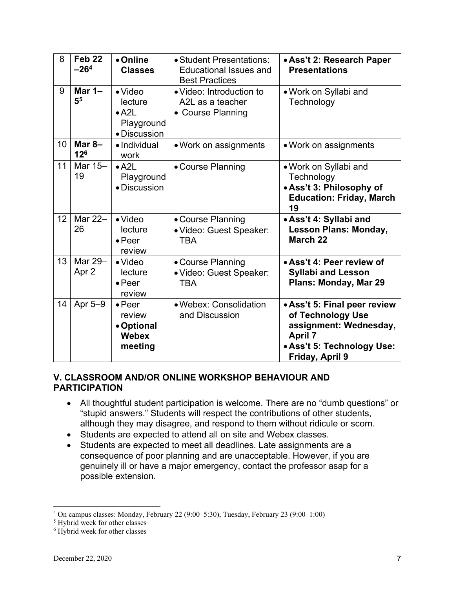| 8  | Feb <sub>22</sub><br>$-264$ | • Online<br><b>Classes</b>                                                | • Student Presentations:<br><b>Educational Issues and</b><br><b>Best Practices</b> | • Ass't 2: Research Paper<br><b>Presentations</b>                                                                                              |
|----|-----------------------------|---------------------------------------------------------------------------|------------------------------------------------------------------------------------|------------------------------------------------------------------------------------------------------------------------------------------------|
| 9  | Mar $1-$<br>5 <sup>5</sup>  | $\bullet$ Video<br>lecture<br>$\bullet$ A2L<br>Playground<br>• Discussion | • Video: Introduction to<br>A2L as a teacher<br>• Course Planning                  | • Work on Syllabi and<br>Technology                                                                                                            |
| 10 | Mar $8-$<br>12 <sup>6</sup> | · Individual<br>work                                                      | • Work on assignments                                                              | • Work on assignments                                                                                                                          |
| 11 | Mar 15-<br>19               | $\bullet$ A2L<br>Playground<br>• Discussion                               | • Course Planning                                                                  | • Work on Syllabi and<br>Technology<br>. Ass't 3: Philosophy of<br><b>Education: Friday, March</b><br>19                                       |
| 12 | Mar 22-<br>26               | $\bullet$ Video<br>lecture<br>$\bullet$ Peer<br>review                    | • Course Planning<br>· Video: Guest Speaker:<br><b>TBA</b>                         | • Ass't 4: Syllabi and<br><b>Lesson Plans: Monday,</b><br><b>March 22</b>                                                                      |
| 13 | Mar 29-<br>Apr 2            | $\bullet$ Video<br>lecture<br>$\bullet$ Peer<br>review                    | • Course Planning<br>· Video: Guest Speaker:<br><b>TBA</b>                         | • Ass't 4: Peer review of<br><b>Syllabi and Lesson</b><br>Plans: Monday, Mar 29                                                                |
| 14 | Apr 5-9                     | $\bullet$ Peer<br>review<br>• Optional<br><b>Webex</b><br>meeting         | · Webex: Consolidation<br>and Discussion                                           | • Ass't 5: Final peer review<br>of Technology Use<br>assignment: Wednesday,<br><b>April 7</b><br>• Ass't 5: Technology Use:<br>Friday, April 9 |

# **V. CLASSROOM AND/OR ONLINE WORKSHOP BEHAVIOUR AND PARTICIPATION**

- All thoughtful student participation is welcome. There are no "dumb questions" or "stupid answers." Students will respect the contributions of other students, although they may disagree, and respond to them without ridicule or scorn.
- Students are expected to attend all on site and Webex classes.
- Students are expected to meet all deadlines. Late assignments are a consequence of poor planning and are unacceptable. However, if you are genuinely ill or have a major emergency, contact the professor asap for a possible extension.

<sup>&</sup>lt;sup>4</sup> On campus classes: Monday, February 22 (9:00–5:30), Tuesday, February 23 (9:00–1:00)<br><sup>5</sup> Hybrid week for other classes

<sup>&</sup>lt;sup>5</sup> Hybrid week for other classes

<sup>6</sup> Hybrid week for other classes